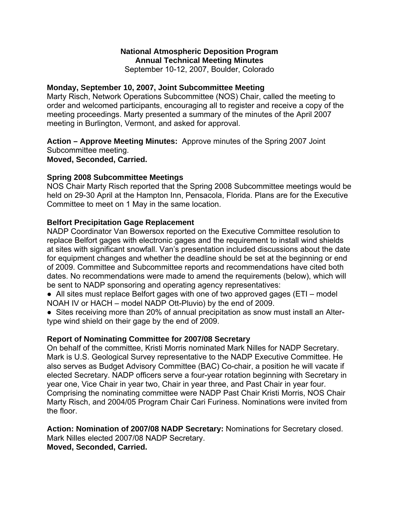### **National Atmospheric Deposition Program Annual Technical Meeting Minutes**

September 10-12, 2007, Boulder, Colorado

#### **Monday, September 10, 2007, Joint Subcommittee Meeting**

Marty Risch, Network Operations Subcommittee (NOS) Chair, called the meeting to order and welcomed participants, encouraging all to register and receive a copy of the meeting proceedings. Marty presented a summary of the minutes of the April 2007 meeting in Burlington, Vermont, and asked for approval.

**Action – Approve Meeting Minutes:** Approve minutes of the Spring 2007 Joint Subcommittee meeting.

**Moved, Seconded, Carried.** 

#### **Spring 2008 Subcommittee Meetings**

NOS Chair Marty Risch reported that the Spring 2008 Subcommittee meetings would be held on 29-30 April at the Hampton Inn, Pensacola, Florida. Plans are for the Executive Committee to meet on 1 May in the same location.

### **Belfort Precipitation Gage Replacement**

NADP Coordinator Van Bowersox reported on the Executive Committee resolution to replace Belfort gages with electronic gages and the requirement to install wind shields at sites with significant snowfall. Van's presentation included discussions about the date for equipment changes and whether the deadline should be set at the beginning or end of 2009. Committee and Subcommittee reports and recommendations have cited both dates. No recommendations were made to amend the requirements (below), which will be sent to NADP sponsoring and operating agency representatives:

• All sites must replace Belfort gages with one of two approved gages (ETI – model NOAH IV or HACH – model NADP Ott-Pluvio) by the end of 2009.

• Sites receiving more than 20% of annual precipitation as snow must install an Altertype wind shield on their gage by the end of 2009.

#### **Report of Nominating Committee for 2007/08 Secretary**

On behalf of the committee, Kristi Morris nominated Mark Nilles for NADP Secretary. Mark is U.S. Geological Survey representative to the NADP Executive Committee. He also serves as Budget Advisory Committee (BAC) Co-chair, a position he will vacate if elected Secretary. NADP officers serve a four-year rotation beginning with Secretary in year one, Vice Chair in year two, Chair in year three, and Past Chair in year four. Comprising the nominating committee were NADP Past Chair Kristi Morris, NOS Chair Marty Risch, and 2004/05 Program Chair Cari Furiness. Nominations were invited from the floor.

**Action: Nomination of 2007/08 NADP Secretary:** Nominations for Secretary closed. Mark Nilles elected 2007/08 NADP Secretary. **Moved, Seconded, Carried.**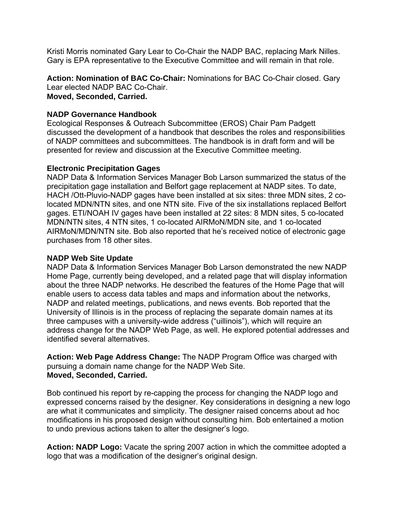Kristi Morris nominated Gary Lear to Co-Chair the NADP BAC, replacing Mark Nilles. Gary is EPA representative to the Executive Committee and will remain in that role.

**Action: Nomination of BAC Co-Chair:** Nominations for BAC Co-Chair closed. Gary Lear elected NADP BAC Co-Chair. **Moved, Seconded, Carried.**

#### **NADP Governance Handbook**

Ecological Responses & Outreach Subcommittee (EROS) Chair Pam Padgett discussed the development of a handbook that describes the roles and responsibilities of NADP committees and subcommittees. The handbook is in draft form and will be presented for review and discussion at the Executive Committee meeting.

#### **Electronic Precipitation Gages**

NADP Data & Information Services Manager Bob Larson summarized the status of the precipitation gage installation and Belfort gage replacement at NADP sites. To date, HACH /Ott-Pluvio-NADP gages have been installed at six sites: three MDN sites, 2 colocated MDN/NTN sites, and one NTN site. Five of the six installations replaced Belfort gages. ETI/NOAH IV gages have been installed at 22 sites: 8 MDN sites, 5 co-located MDN/NTN sites, 4 NTN sites, 1 co-located AIRMoN/MDN site, and 1 co-located AIRMoN/MDN/NTN site. Bob also reported that he's received notice of electronic gage purchases from 18 other sites.

#### **NADP Web Site Update**

NADP Data & Information Services Manager Bob Larson demonstrated the new NADP Home Page, currently being developed, and a related page that will display information about the three NADP networks. He described the features of the Home Page that will enable users to access data tables and maps and information about the networks, NADP and related meetings, publications, and news events. Bob reported that the University of Illinois is in the process of replacing the separate domain names at its three campuses with a university-wide address ("uillinois"), which will require an address change for the NADP Web Page, as well. He explored potential addresses and identified several alternatives.

**Action: Web Page Address Change:** The NADP Program Office was charged with pursuing a domain name change for the NADP Web Site. **Moved, Seconded, Carried.**

Bob continued his report by re-capping the process for changing the NADP logo and expressed concerns raised by the designer. Key considerations in designing a new logo are what it communicates and simplicity. The designer raised concerns about ad hoc modifications in his proposed design without consulting him. Bob entertained a motion to undo previous actions taken to alter the designer's logo.

**Action: NADP Logo:** Vacate the spring 2007 action in which the committee adopted a logo that was a modification of the designer's original design.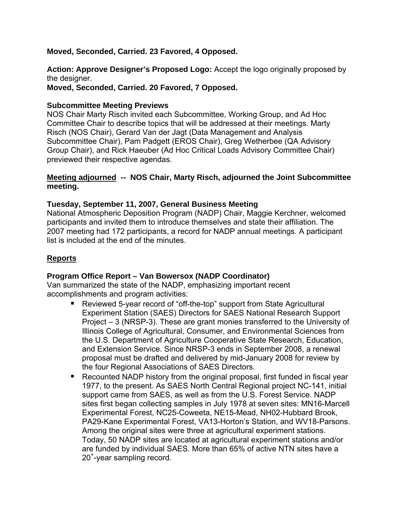#### **Moved, Seconded, Carried. 23 Favored, 4 Opposed.**

**Action: Approve Designer's Proposed Logo:** Accept the logo originally proposed by the designer.

**Moved, Seconded, Carried. 20 Favored, 7 Opposed.** 

#### **Subcommittee Meeting Previews**

NOS Chair Marty Risch invited each Subcommittee, Working Group, and Ad Hoc Committee Chair to describe topics that will be addressed at their meetings. Marty Risch (NOS Chair), Gerard Van der Jagt (Data Management and Analysis Subcommittee Chair), Pam Padgett (EROS Chair), Greg Wetherbee (QA Advisory Group Chair), and Rick Haeuber (Ad Hoc Critical Loads Advisory Committee Chair) previewed their respective agendas.

#### **Meeting adjourned -- NOS Chair, Marty Risch, adjourned the Joint Subcommittee meeting.**

#### **Tuesday, September 11, 2007, General Business Meeting**

National Atmospheric Deposition Program (NADP) Chair, Maggie Kerchner, welcomed participants and invited them to introduce themselves and state their affiliation. The 2007 meeting had 172 participants, a record for NADP annual meetings. A participant list is included at the end of the minutes.

### **Reports**

### **Program Office Report – Van Bowersox (NADP Coordinator)**

Van summarized the state of the NADP, emphasizing important recent accomplishments and program activities:

- Reviewed 5-year record of "off-the-top" support from State Agricultural Experiment Station (SAES) Directors for SAES National Research Support Project – 3 (NRSP-3). These are grant monies transferred to the University of Illinois College of Agricultural, Consumer, and Environmental Sciences from the U.S. Department of Agriculture Cooperative State Research, Education, and Extension Service. Since NRSP-3 ends in September 2008, a renewal proposal must be drafted and delivered by mid-January 2008 for review by the four Regional Associations of SAES Directors.
- Recounted NADP history from the original proposal, first funded in fiscal year 1977, to the present. As SAES North Central Regional project NC-141, initial support came from SAES, as well as from the U.S. Forest Service. NADP sites first began collecting samples in July 1978 at seven sites: MN16-Marcell Experimental Forest, NC25-Coweeta, NE15-Mead, NH02-Hubbard Brook, PA29-Kane Experimental Forest, VA13-Horton's Station, and WV18-Parsons. Among the original sites were three at agricultural experiment stations. Today, 50 NADP sites are located at agricultural experiment stations and/or are funded by individual SAES. More than 65% of active NTN sites have a 20+ -year sampling record.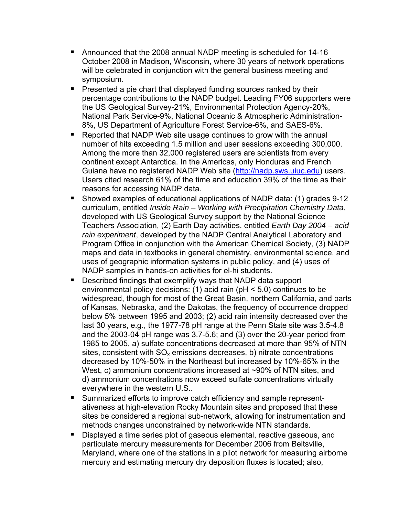- Announced that the 2008 annual NADP meeting is scheduled for 14-16 October 2008 in Madison, Wisconsin, where 30 years of network operations will be celebrated in conjunction with the general business meeting and symposium.
- **Presented a pie chart that displayed funding sources ranked by their** percentage contributions to the NADP budget. Leading FY06 supporters were the US Geological Survey-21%, Environmental Protection Agency-20%, National Park Service-9%, National Oceanic & Atmospheric Administration-8%, US Department of Agriculture Forest Service-6%, and SAES-6%.
- Reported that NADP Web site usage continues to grow with the annual number of hits exceeding 1.5 million and user sessions exceeding 300,000. Among the more than 32,000 registered users are scientists from every continent except Antarctica. In the Americas, only Honduras and French Guiana have no registered NADP Web site [\(http://nadp.sws.uiuc.edu\)](http://nadp.sws.uiuc.edu/) users. Users cited research 61% of the time and education 39% of the time as their reasons for accessing NADP data.
- Showed examples of educational applications of NADP data: (1) grades 9-12 curriculum, entitled *Inside Rain – Working with Precipitation Chemistry Data*, developed with US Geological Survey support by the National Science Teachers Association, (2) Earth Day activities, entitled *Earth Day 2004 – acid rain experiment*, developed by the NADP Central Analytical Laboratory and Program Office in conjunction with the American Chemical Society, (3) NADP maps and data in textbooks in general chemistry, environmental science, and uses of geographic information systems in public policy, and (4) uses of NADP samples in hands-on activities for el-hi students.
- **Described findings that exemplify ways that NADP data support** environmental policy decisions: (1) acid rain (pH < 5.0) continues to be widespread, though for most of the Great Basin, northern California, and parts of Kansas, Nebraska, and the Dakotas, the frequency of occurrence dropped below 5% between 1995 and 2003; (2) acid rain intensity decreased over the last 30 years, e.g., the 1977-78 pH range at the Penn State site was 3.5-4.8 and the 2003-04 pH range was 3.7-5.6; and (3) over the 20-year period from 1985 to 2005, a) sulfate concentrations decreased at more than 95% of NTN sites, consistent with  $SO_x$  emissions decreases, b) nitrate concentrations decreased by 10%-50% in the Northeast but increased by 10%-65% in the West, c) ammonium concentrations increased at ~90% of NTN sites, and d) ammonium concentrations now exceed sulfate concentrations virtually everywhere in the western U.S..
- **Summarized efforts to improve catch efficiency and sample represent**ativeness at high-elevation Rocky Mountain sites and proposed that these sites be considered a regional sub-network, allowing for instrumentation and methods changes unconstrained by network-wide NTN standards.
- Displayed a time series plot of gaseous elemental, reactive gaseous, and particulate mercury measurements for December 2006 from Beltsville, Maryland, where one of the stations in a pilot network for measuring airborne mercury and estimating mercury dry deposition fluxes is located; also,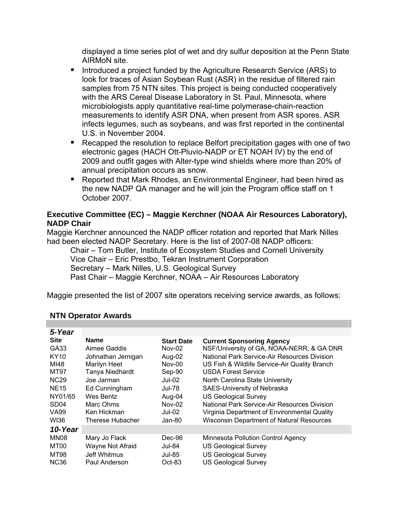displayed a time series plot of wet and dry sulfur deposition at the Penn State AIRMoN site.

- Introduced a project funded by the Agriculture Research Service (ARS) to look for traces of Asian Soybean Rust (ASR) in the residue of filtered rain samples from 75 NTN sites. This project is being conducted cooperatively with the ARS Cereal Disease Laboratory in St. Paul, Minnesota, where microbiologists apply quantitative real-time polymerase-chain-reaction measurements to identify ASR DNA, when present from ASR spores. ASR infects legumes, such as soybeans, and was first reported in the continental U.S. in November 2004.
- Recapped the resolution to replace Belfort precipitation gages with one of two electronic gages (HACH Ott-Pluvio-NADP or ET NOAH IV) by the end of 2009 and outfit gages with Alter-type wind shields where more than 20% of annual precipitation occurs as snow.
- Reported that Mark Rhodes, an Environmental Engineer, had been hired as the new NADP QA manager and he will join the Program office staff on 1 October 2007.

#### **Executive Committee (EC) – Maggie Kerchner (NOAA Air Resources Laboratory), NADP Chair**

Maggie Kerchner announced the NADP officer rotation and reported that Mark Nilles had been elected NADP Secretary. Here is the list of 2007-08 NADP officers:

 Chair – Tom Butler, Institute of Ecosystem Studies and Cornell University Vice Chair – Eric Prestbo, Tekran Instrument Corporation Secretary – Mark Nilles, U.S. Geological Survey Past Chair – Maggie Kerchner, NOAA – Air Resources Laboratory

Maggie presented the list of 2007 site operators receiving service awards, as follows:

| <b>Name</b>        | <b>Start Date</b> | <b>Current Sponsoring Agency</b>                 |
|--------------------|-------------------|--------------------------------------------------|
| Aimee Gaddis       | Nov-02            | NSF/University of GA, NOAA-NERR, & GA DNR        |
| Johnathan Jernigan | Aug-02            | National Park Service-Air Resources Division     |
| Marilyn Heet       | <b>Nov-00</b>     | US Fish & Wildlife Service-Air Quality Branch    |
|                    | Sep-90            | <b>USDA Forest Service</b>                       |
| Joe Jarman         | $Jul-02$          | North Carolina State University                  |
| Ed Cunningham      | Jul-78            | SAES-University of Nebraska                      |
| Wes Bentz          | Aug-04            | <b>US Geological Survey</b>                      |
| Marc Ohms          | $Nov-02$          | National Park Service-Air Resources Division     |
| Ken Hickman        | Jul-02            | Virginia Department of Environmental Quality     |
| Therese Hubacher   | Jan-80            | <b>Wisconsin Department of Natural Resources</b> |
|                    |                   |                                                  |
| Mary Jo Flack      | Dec-96            | Minnesota Pollution Control Agency               |
| Wayne Not Afraid   | <b>Jul-84</b>     | <b>US Geological Survey</b>                      |
| Jeff Whitmus       | Jul-85            | <b>US Geological Survey</b>                      |
| Paul Anderson      | $Oct-83$          | <b>US Geological Survey</b>                      |
|                    | Tanya Niedhardt   |                                                  |

### **NTN Operator Awards**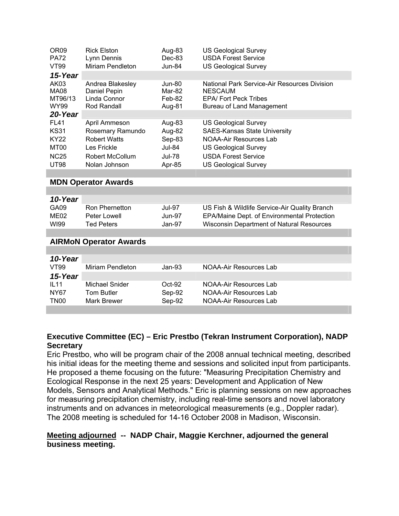| OR <sub>09</sub><br><b>PA72</b><br><b>VT99</b> | <b>Rick Elston</b><br>Lynn Dennis<br>Miriam Pendleton | Aug-83<br>Dec-83<br>Jun-84 | <b>US Geological Survey</b><br><b>USDA Forest Service</b><br><b>US Geological Survey</b> |
|------------------------------------------------|-------------------------------------------------------|----------------------------|------------------------------------------------------------------------------------------|
| 15-Year                                        |                                                       |                            |                                                                                          |
| AK03                                           | Andrea Blakesley                                      | Jun-80                     | National Park Service-Air Resources Division                                             |
| MA08                                           | Daniel Pepin                                          | Mar-82                     | <b>NESCAUM</b>                                                                           |
| MT96/13                                        | Linda Connor                                          | Feb-82                     | <b>EPA/ Fort Peck Tribes</b>                                                             |
| WY99                                           | Rod Randall                                           | Aug-81                     | Bureau of Land Management                                                                |
| 20-Year                                        |                                                       |                            |                                                                                          |
| <b>FL41</b>                                    | April Ammeson                                         | Aug-83                     | <b>US Geological Survey</b>                                                              |
| <b>KS31</b>                                    | Rosemary Ramundo                                      | Aug-82                     | <b>SAES-Kansas State University</b>                                                      |
| <b>KY22</b>                                    | <b>Robert Watts</b>                                   | Sep-83                     | NOAA-Air Resources Lab                                                                   |
| MT00                                           | Les Frickle                                           | <b>Jul-84</b>              | <b>US Geological Survey</b>                                                              |
| <b>NC25</b>                                    | Robert McCollum                                       | <b>Jul-78</b>              | <b>USDA Forest Service</b>                                                               |
| <b>UT98</b>                                    | Nolan Johnson                                         | Apr-85                     | <b>US Geological Survey</b>                                                              |

#### **MDN Operator Awards**

| 10-Year |                |        |                                                    |
|---------|----------------|--------|----------------------------------------------------|
| GA09    | Ron Phernetton | Jul-97 | US Fish & Wildlife Service-Air Quality Branch      |
| ME02    | Peter Lowell   | Jun-97 | <b>EPA/Maine Dept. of Environmental Protection</b> |
| WI99    | Ted Peters     | Jan-97 | Wisconsin Department of Natural Resources          |

#### **AIRMoN Operator Awards**

| 10-Year          |                  |          |                        |
|------------------|------------------|----------|------------------------|
| VT99             | Miriam Pendleton | $Jan-93$ | NOAA-Air Resources Lab |
| 15-Year          |                  |          |                        |
| IL11             | Michael Snider   | $Oct-92$ | NOAA-Air Resources Lab |
| NY67             | Tom Butler       | Sep-92   | NOAA-Air Resources Lab |
| TN <sub>00</sub> | Mark Brewer      | Sep-92   | NOAA-Air Resources Lab |
|                  |                  |          |                        |

#### **Executive Committee (EC) – Eric Prestbo (Tekran Instrument Corporation), NADP Secretary**

Eric Prestbo, who will be program chair of the 2008 annual technical meeting, described his initial ideas for the meeting theme and sessions and solicited input from participants. He proposed a theme focusing on the future: "Measuring Precipitation Chemistry and Ecological Response in the next 25 years: Development and Application of New Models, Sensors and Analytical Methods." Eric is planning sessions on new approaches for measuring precipitation chemistry, including real-time sensors and novel laboratory instruments and on advances in meteorological measurements (e.g., Doppler radar). The 2008 meeting is scheduled for 14-16 October 2008 in Madison, Wisconsin.

#### **Meeting adjourned -- NADP Chair, Maggie Kerchner, adjourned the general business meeting.**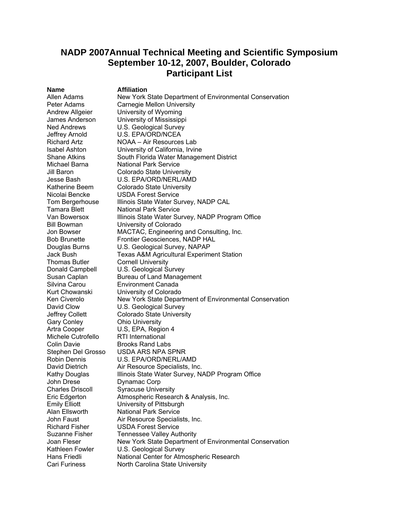## **NADP 2007Annual Technical Meeting and Scientific Symposium September 10-12, 2007, Boulder, Colorado Participant List**

**Name Affiliation**<br>Allen Adams **Mew York** Thomas Butler **Cornell University** Michele Cutrofello RTI International John Drese Dynamac Corp

New York State Department of Environmental Conservation Peter Adams Carnegie Mellon University Andrew Allgeier University of Wyoming James Anderson University of Mississippi Ned Andrews U.S. Geological Survey Jeffrey Arnold U.S. EPA/ORD/NCEA Richard Artz NOAA – Air Resources Lab Isabel Ashton University of California, Irvine Shane Atkins South Florida Water Management District Michael Barna **National Park Service** Jill Baron Colorado State University Jesse Bash U.S. EPA/ORD/NERL/AMD Katherine Beem Colorado State University Nicolai Bencke USDA Forest Service Tom Bergerhouse Illinois State Water Survey, NADP CAL Tamara Blett National Park Service Van Bowersox Illinois State Water Survey, NADP Program Office Bill Bowman University of Colorado Jon Bowser MACTAC, Engineering and Consulting, Inc. Bob Brunette Frontier Geosciences, NADP HAL Douglas Burns U.S. Geological Survey, NAPAP Jack Bush Texas A&M Agricultural Experiment Station Donald Campbell U.S. Geological Survey Susan Caplan Bureau of Land Management Silvina Carou Environment Canada Kurt Chowanski University of Colorado Ken Civerolo New York State Department of Environmental Conservation David Clow **U.S. Geological Survey** Jeffrey Collett Colorado State University<br>Gary Conley Cohio University **Ohio University** Artra Cooper U.S, EPA, Region 4 Colin Davie **Brooks Rand Labs** Stephen Del Grosso USDA ARS NPA SPNR Robin Dennis U.S. EPA/ORD/NERL/AMD David Dietrich Air Resource Specialists, Inc. Kathy Douglas Illinois State Water Survey, NADP Program Office Charles Driscoll Syracuse University Eric Edgerton Atmospheric Research & Analysis, Inc. Emily Elliott University of Pittsburgh Alan Ellsworth National Park Service John Faust **Air Resource Specialists, Inc.** Richard Fisher USDA Forest Service Suzanne Fisher Tennessee Valley Authority Joan Fleser New York State Department of Environmental Conservation Kathleen Fowler U.S. Geological Survey Hans Friedli National Center for Atmospheric Research Cari Furiness North Carolina State University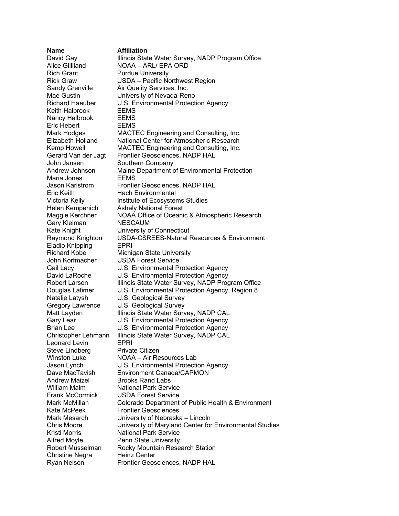**Name Affiliation**  Rich Grant Purdue University Keith Halbrook EEMS Nancy Halbrook EEMS Eric Hebert EEMS John Jansen Southern Company Maria Jones EEMS Eric Keith Hach Environmental Gary Kleiman NESCAUM Eladio Knipping EPRI John Korfmacher USDA Forest Service Leonard Levin **EPRI** Steve Lindberg Private Citizen Andrew Maizel Brooks Rand Labs William Malm National Park Service Frank McCormick USDA Forest Service Kate McPeek Frontier Geosciences Kristi Morris National Park Service Alfred Moyle **Penn State University** Christine Negra Heinz Center Ryan Nelson Frontier Geosciences, NADP HAL

# David Gay Illinois State Water Survey, NADP Program Office Alice Gilliland NOAA – ARL/ EPA ORD Rick Graw **USDA** – Pacific Northwest Region<br>Sandy Grenville – Air Quality Services, Inc. Air Quality Services, Inc. Mae Gustin **University of Nevada-Reno** Richard Haeuber U.S. Environmental Protection Agency Mark Hodges MACTEC Engineering and Consulting, Inc. Elizabeth Holland National Center for Atmospheric Research Kemp Howell MACTEC Engineering and Consulting, Inc. Gerard Van der Jagt Frontier Geosciences, NADP HAL Andrew Johnson Maine Department of Environmental Protection Jason Karlstrom Frontier Geosciences, NADP HAL Victoria Kelly **Institute of Ecosystems Studies** Helen Kempenich Ashely National Forest Maggie Kerchner NOAA Office of Oceanic & Atmospheric Research Kate Knight **University of Connecticut** Raymond Knighton USDA-CSREES-Natural Resources & Environment Richard Kobe Michigan State University Gail Lacy **U.S. Environmental Protection Agency** David LaRoche U.S. Environmental Protection Agency Robert Larson Illinois State Water Survey, NADP Program Office Douglas Latimer U.S. Environmental Protection Agency, Region 8<br>Natalie Latysh U.S. Geological Survey U.S. Geological Survey Gregory Lawrence U.S. Geological Survey Matt Layden Illinois State Water Survey, NADP CAL Gary Lear **U.S. Environmental Protection Agency** Brian Lee U.S. Environmental Protection Agency Christopher Lehmann Illinois State Water Survey, NADP CAL Winston Luke NOAA – Air Resources Lab Jason Lynch U.S. Environmental Protection Agency Dave MacTavish Environment Canada/CAPMON Mark McMillan Colorado Department of Public Health & Environment Mark Mesarch University of Nebraska – Lincoln Chris Moore University of Maryland Center for Environmental Studies Robert Musselman Rocky Mountain Research Station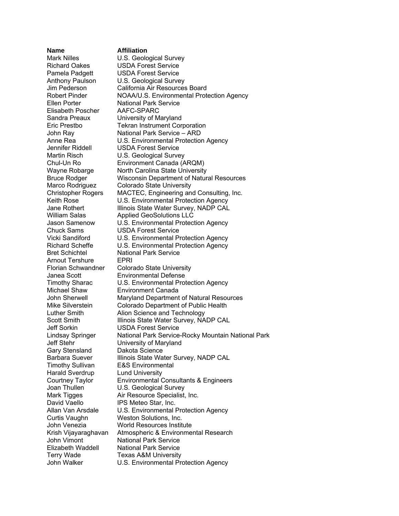Elisabeth Poscher AAFC-SPARC Arnout Tershure EPRI Gary Stensland Dakota Science Harald Sverdrup Lund University

#### **Name Affiliation**

Mark Nilles **U.S. Geological Survey** Richard Oakes USDA Forest Service Pamela Padgett USDA Forest Service Anthony Paulson U.S. Geological Survey Jim Pederson California Air Resources Board Robert Pinder **NOAA/U.S. Environmental Protection Agency** Ellen Porter **National Park Service** Sandra Preaux University of Maryland Eric Prestbo Tekran Instrument Corporation John Ray National Park Service – ARD Anne Rea U.S. Environmental Protection Agency Jennifer Riddell USDA Forest Service Martin Risch **U.S. Geological Survey** Chul-Un Ro Environment Canada (ARQM) Wayne Robarge North Carolina State University Bruce Rodger Wisconsin Department of Natural Resources Marco Rodriguez Colorado State University Christopher Rogers MACTEC, Engineering and Consulting, Inc. Keith Rose **U.S. Environmental Protection Agency** Jane Rothert **Illinois State Water Survey, NADP CAL** William Salas **Applied GeoSolutions LLC**<br>Jason Samenow U.S. Environmental Protec U.S. Environmental Protection Agency Chuck Sams USDA Forest Service Vicki Sandiford U.S. Environmental Protection Agency Richard Scheffe U.S. Environmental Protection Agency Bret Schichtel National Park Service Florian Schwandner Colorado State University Janea Scott Environmental Defense Timothy Sharac U.S. Environmental Protection Agency Michael Shaw Environment Canada John Sherwell Maryland Department of Natural Resources Mike Silverstein Colorado Department of Public Health Luther Smith Alion Science and Technology Scott Smith Illinois State Water Survey, NADP CAL Jeff Sorkin USDA Forest Service Lindsay Springer National Park Service-Rocky Mountain National Park Jeff Stehr University of Maryland Barbara Suever Illinois State Water Survey, NADP CAL Timothy Sullivan E&S Environmental Courtney Taylor Environmental Consultants & Engineers Joan Thullen **U.S. Geological Survey** Mark Tigges **Air Resource Specialist, Inc.** David Vaello **IPS Meteo Star, Inc.**<br>Allan Van Arsdale U.S. Environmental I U.S. Environmental Protection Agency Curtis Vaughn Weston Solutions, Inc. John Venezia World Resources Institute Krish Vijayaraghavan Atmospheric & Environmental Research John Vimont National Park Service Elizabeth Waddell National Park Service Terry Wade Texas A&M University John Walker U.S. Environmental Protection Agency